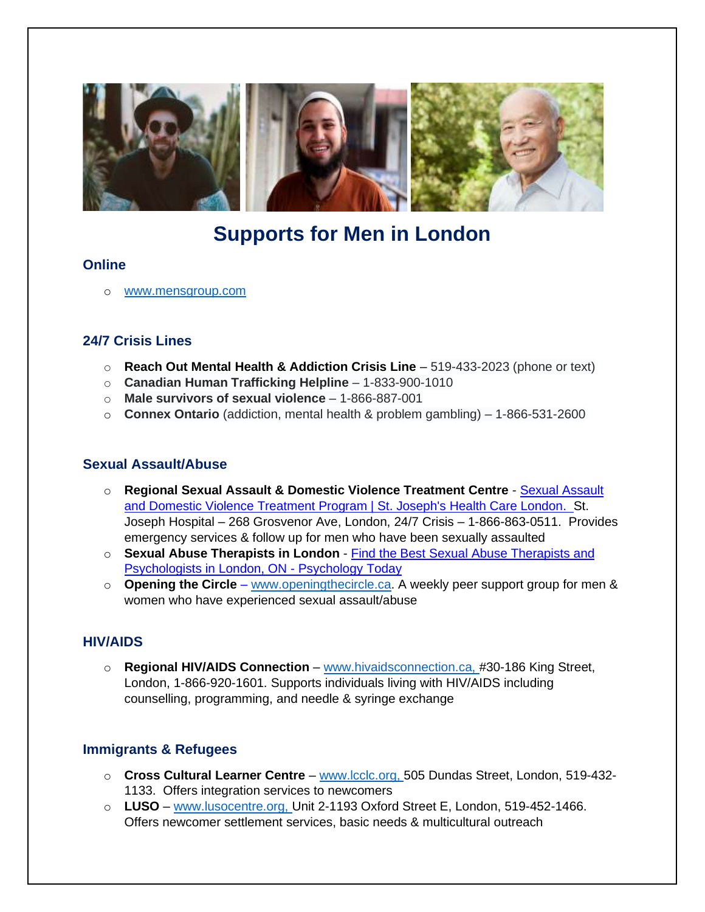

# **Supports for Men in London**

#### **Online**

o [www.mensgroup.com](http://www.mensgroup.com/)

# **24/7 Crisis Lines**

- o **Reach Out Mental Health & Addiction Crisis Line** 519-433-2023 (phone or text)
- o **Canadian Human Trafficking Helpline** 1-833-900-1010
- o **Male survivors of sexual violence** 1-866-887-001
- o **Connex Ontario** (addiction, mental health & problem gambling) 1-866-531-2600

#### **Sexual Assault/Abuse**

- o **Regional Sexual Assault & Domestic Violence Treatment Centre** [Sexual Assault](https://www.sjhc.london.on.ca/areas-of-care/sexual-assault-and-domestic-violence-treatment-program)  [and Domestic Violence Treatment Program | St. Joseph's Health Care London.](https://www.sjhc.london.on.ca/areas-of-care/sexual-assault-and-domestic-violence-treatment-program) St. Joseph Hospital – 268 Grosvenor Ave, London, 24/7 Crisis – 1-866-863-0511. Provides emergency services & follow up for men who have been sexually assaulted
- o **Sexual Abuse Therapists in London** [Find the Best Sexual Abuse Therapists and](https://www.psychologytoday.com/ca/therapists/sexual-abuse/on/london)  [Psychologists in London, ON -](https://www.psychologytoday.com/ca/therapists/sexual-abuse/on/london) Psychology Today
- o **Opening the Circle** [www.openingthecircle.ca.](http://www.openingthecircle.ca/) A weekly peer support group for men & women who have experienced sexual assault/abuse

## **HIV/AIDS**

o **Regional HIV/AIDS Connection** – [www.hivaidsconnection.ca,](http://www.hivaidsconnection.ca/) #30-186 King Street, London, 1-866-920-1601. Supports individuals living with HIV/AIDS including counselling, programming, and needle & syringe exchange

## **Immigrants & Refugees**

- o **Cross Cultural Learner Centre** [www.lcclc.org,](http://www.lcclc.org/) 505 Dundas Street, London, 519-432- 1133. Offers integration services to newcomers
- o **LUSO** [www.lusocentre.org,](http://www.lusocentre.org/) Unit 2-1193 Oxford Street E, London, 519-452-1466. Offers newcomer settlement services, basic needs & multicultural outreach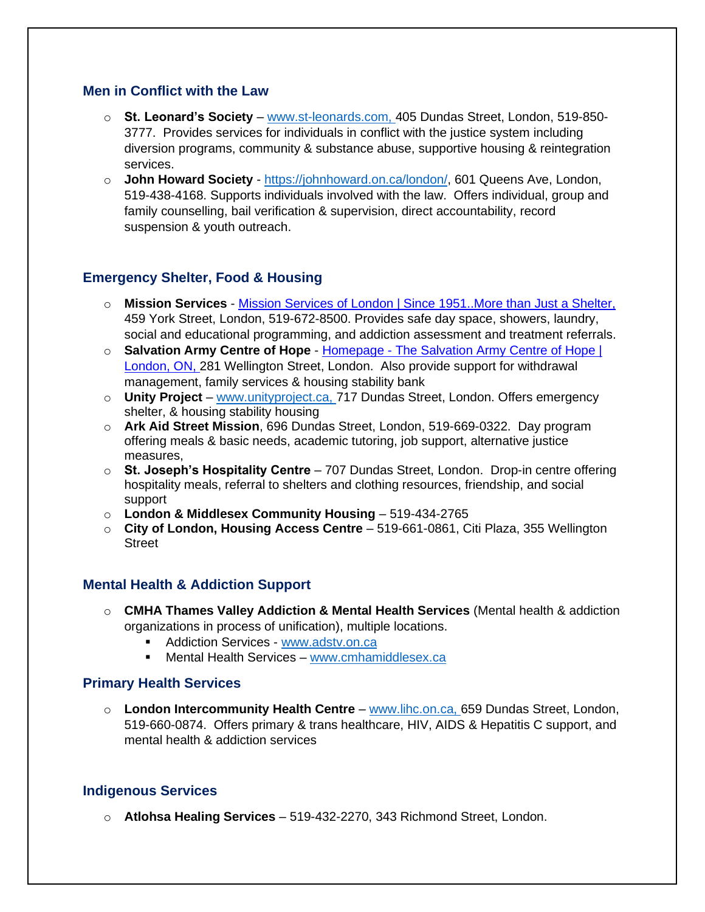#### **Men in Conflict with the Law**

- o **St. Leonard's Society** [www.st-leonards.com,](http://www.st-leonards.com/) 405 Dundas Street, London, 519-850- 3777. Provides services for individuals in conflict with the justice system including diversion programs, community & substance abuse, supportive housing & reintegration services.
- o **John Howard Society**  [https://johnhoward.on.ca/london/,](https://johnhoward.on.ca/london/) 601 Queens Ave, London, 519-438-4168. Supports individuals involved with the law. Offers individual, group and family counselling, bail verification & supervision, direct accountability, record suspension & youth outreach.

## **Emergency Shelter, Food & Housing**

- o **Mission Services** [Mission Services of London | Since 1951..More than Just a Shelter,](https://missionservices.ca/) 459 York Street, London, 519-672-8500. Provides safe day space, showers, laundry, social and educational programming, and addiction assessment and treatment referrals.
- o **Salvation Army Centre of Hope** Homepage [The Salvation Army Centre of Hope |](https://centreofhope.ca/)  [London, ON,](https://centreofhope.ca/) 281 Wellington Street, London. Also provide support for withdrawal management, family services & housing stability bank
- o **Unity Project** [www.unityproject.ca,](http://www.unityproject.ca/) 717 Dundas Street, London. Offers emergency shelter, & housing stability housing
- o **Ark Aid Street Mission**, 696 Dundas Street, London, 519-669-0322. Day program offering meals & basic needs, academic tutoring, job support, alternative justice measures,
- o **St. Joseph's Hospitality Centre** 707 Dundas Street, London. Drop-in centre offering hospitality meals, referral to shelters and clothing resources, friendship, and social support
- o **London & Middlesex Community Housing** 519-434-2765
- o **City of London, Housing Access Centre** 519-661-0861, Citi Plaza, 355 Wellington **Street**

#### **Mental Health & Addiction Support**

- o **CMHA Thames Valley Addiction & Mental Health Services** (Mental health & addiction organizations in process of unification), multiple locations.
	- Addiction Services [www.adstv.on.ca](http://www.adstv.on.ca/)
	- **■** Mental Health Services [www.cmhamiddlesex.ca](http://www.cmhamiddlesex.ca/)

#### **Primary Health Services**

o **London Intercommunity Health Centre** – [www.lihc.on.ca,](http://www.lihc.on.ca/) 659 Dundas Street, London, 519-660-0874. Offers primary & trans healthcare, HIV, AIDS & Hepatitis C support, and mental health & addiction services

#### **Indigenous Services**

o **Atlohsa Healing Services** – 519-432-2270, 343 Richmond Street, London.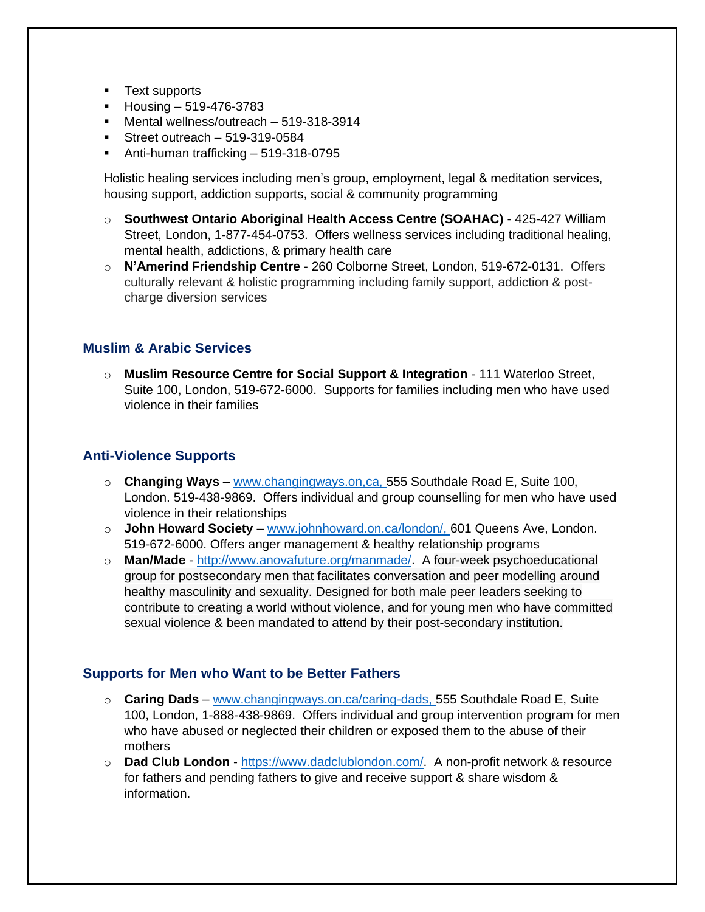- Text supports
- $\blacksquare$  Housing 519-476-3783
- Mental wellness/outreach 519-318-3914
- $\blacksquare$  Street outreach 519-319-0584
- Anti-human trafficking 519-318-0795

Holistic healing services including men's group, employment, legal & meditation services, housing support, addiction supports, social & community programming

- o **Southwest Ontario Aboriginal Health Access Centre (SOAHAC)** 425-427 William Street, London, 1-877-454-0753. Offers wellness services including traditional healing, mental health, addictions, & primary health care
- o **N'Amerind Friendship Centre** 260 Colborne Street, London, 519-672-0131. Offers culturally relevant & holistic programming including family support, addiction & postcharge diversion services

## **Muslim & Arabic Services**

o **Muslim Resource Centre for Social Support & Integration** - 111 Waterloo Street, Suite 100, London, 519-672-6000. Supports for families including men who have used violence in their families

## **Anti-Violence Supports**

- o **Changing Ways** [www.changingways.on,ca,](http://www.changingways.on,ca/) 555 Southdale Road E, Suite 100, London. 519-438-9869. Offers individual and group counselling for men who have used violence in their relationships
- o **John Howard Society** [www.johnhoward.on.ca/london/,](http://www.johnhoward.on.ca/london/) 601 Queens Ave, London. 519-672-6000. Offers anger management & healthy relationship programs
- o **Man/Made**  [http://www.anovafuture.org/manmade/.](http://www.anovafuture.org/manmade/) A four-week psychoeducational group for postsecondary men that facilitates conversation and peer modelling around healthy masculinity and sexuality. Designed for both male peer leaders seeking to contribute to creating a world without violence, and for young men who have committed sexual violence & been mandated to attend by their post-secondary institution.

#### **Supports for Men who Want to be Better Fathers**

- o **Caring Dads** [www.changingways.on.ca/caring-dads,](http://www.changingways.on.ca/caring-dads) 555 Southdale Road E, Suite 100, London, 1-888-438-9869. Offers individual and group intervention program for men who have abused or neglected their children or exposed them to the abuse of their mothers
- o **Dad Club London**  [https://www.dadclublondon.com/.](https://www.dadclublondon.com/) A non-profit network & resource for fathers and pending fathers to give and receive support & share wisdom & information.